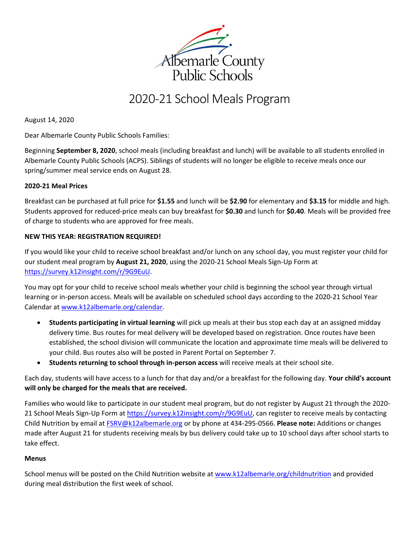

# 2020-21 School Meals Program

August 14, 2020

Dear Albemarle County Public Schools Families:

Beginning **September 8, 2020**, school meals (including breakfast and lunch) will be available to all students enrolled in Albemarle County Public Schools (ACPS). Siblings of students will no longer be eligible to receive meals once our spring/summer meal service ends on August 28.

### **2020-21 Meal Prices**

Breakfast can be purchased at full price for **\$1.55** and lunch will be **\$2.90** for elementary and **\$3.15** for middle and high. Students approved for reduced-price meals can buy breakfast for **\$0.30** and lunch for **\$0.40**. Meals will be provided free of charge to students who are approved for free meals.

# **NEW THIS YEAR: REGISTRATION REQUIRED!**

If you would like your child to receive school breakfast and/or lunch on any school day, you must register your child for our student meal program by **August 21, 2020**, using the 2020-21 School Meals Sign-Up Form at [https://survey.k12insight.com/r/9G9EuU.](https://survey.k12insight.com/r/9G9EuU)

You may opt for your child to receive school meals whether your child is beginning the school year through virtual learning or in-person access. Meals will be available on scheduled school days according to the 2020-21 School Year Calendar a[t www.k12albemarle.org/calendar.](http://www.k12albemarle.org/calendar)

- **Students participating in virtual learning** will pick up meals at their bus stop each day at an assigned midday delivery time. Bus routes for meal delivery will be developed based on registration. Once routes have been established, the school division will communicate the location and approximate time meals will be delivered to your child. Bus routes also will be posted in Parent Portal on September 7.
- **Students returning to school through in-person access** will receive meals at their school site.

Each day, students will have access to a lunch for that day and/or a breakfast for the following day. **Your child's account will only be charged for the meals that are received.**

Families who would like to participate in our student meal program, but do not register by August 21 through the 2020- 21 School Meals Sign-Up Form at [https://survey.k12insight.com/r/9G9EuU,](https://survey.k12insight.com/r/9G9EuU) can register to receive meals by contacting Child Nutrition by email at [FSRV@k12albemarle.org](mailto:FSRV@k12albemarle.org) or by phone at 434-295-0566. **Please note:** Additions or changes made after August 21 for students receiving meals by bus delivery could take up to 10 school days after school starts to take effect.

### **Menus**

School menus will be posted on the Child Nutrition website at [www.k12albemarle.org/childnutrition](http://www.k12albemarle.org/childnutrition) and provided during meal distribution the first week of school.